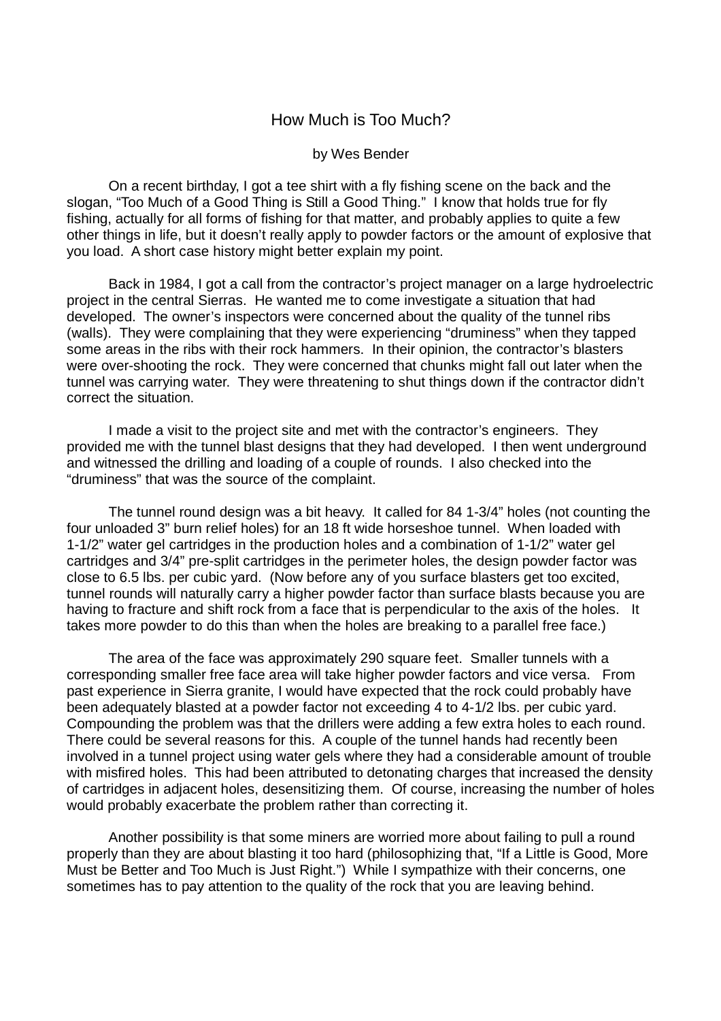## How Much is Too Much?

## by Wes Bender

 On a recent birthday, I got a tee shirt with a fly fishing scene on the back and the slogan, "Too Much of a Good Thing is Still a Good Thing." I know that holds true for fly fishing, actually for all forms of fishing for that matter, and probably applies to quite a few other things in life, but it doesn't really apply to powder factors or the amount of explosive that you load. A short case history might better explain my point.

 Back in 1984, I got a call from the contractor's project manager on a large hydroelectric project in the central Sierras. He wanted me to come investigate a situation that had developed. The owner's inspectors were concerned about the quality of the tunnel ribs (walls). They were complaining that they were experiencing "druminess" when they tapped some areas in the ribs with their rock hammers. In their opinion, the contractor's blasters were over-shooting the rock. They were concerned that chunks might fall out later when the tunnel was carrying water. They were threatening to shut things down if the contractor didn't correct the situation.

 I made a visit to the project site and met with the contractor's engineers. They provided me with the tunnel blast designs that they had developed. I then went underground and witnessed the drilling and loading of a couple of rounds. I also checked into the "druminess" that was the source of the complaint.

 The tunnel round design was a bit heavy. It called for 84 1-3/4" holes (not counting the four unloaded 3" burn relief holes) for an 18 ft wide horseshoe tunnel. When loaded with 1-1/2" water gel cartridges in the production holes and a combination of 1-1/2" water gel cartridges and 3/4" pre-split cartridges in the perimeter holes, the design powder factor was close to 6.5 lbs. per cubic yard. (Now before any of you surface blasters get too excited, tunnel rounds will naturally carry a higher powder factor than surface blasts because you are having to fracture and shift rock from a face that is perpendicular to the axis of the holes. It takes more powder to do this than when the holes are breaking to a parallel free face.)

 The area of the face was approximately 290 square feet. Smaller tunnels with a corresponding smaller free face area will take higher powder factors and vice versa. From past experience in Sierra granite, I would have expected that the rock could probably have been adequately blasted at a powder factor not exceeding 4 to 4-1/2 lbs. per cubic yard. Compounding the problem was that the drillers were adding a few extra holes to each round. There could be several reasons for this. A couple of the tunnel hands had recently been involved in a tunnel project using water gels where they had a considerable amount of trouble with misfired holes. This had been attributed to detonating charges that increased the density of cartridges in adjacent holes, desensitizing them. Of course, increasing the number of holes would probably exacerbate the problem rather than correcting it.

 Another possibility is that some miners are worried more about failing to pull a round properly than they are about blasting it too hard (philosophizing that, "If a Little is Good, More Must be Better and Too Much is Just Right.") While I sympathize with their concerns, one sometimes has to pay attention to the quality of the rock that you are leaving behind.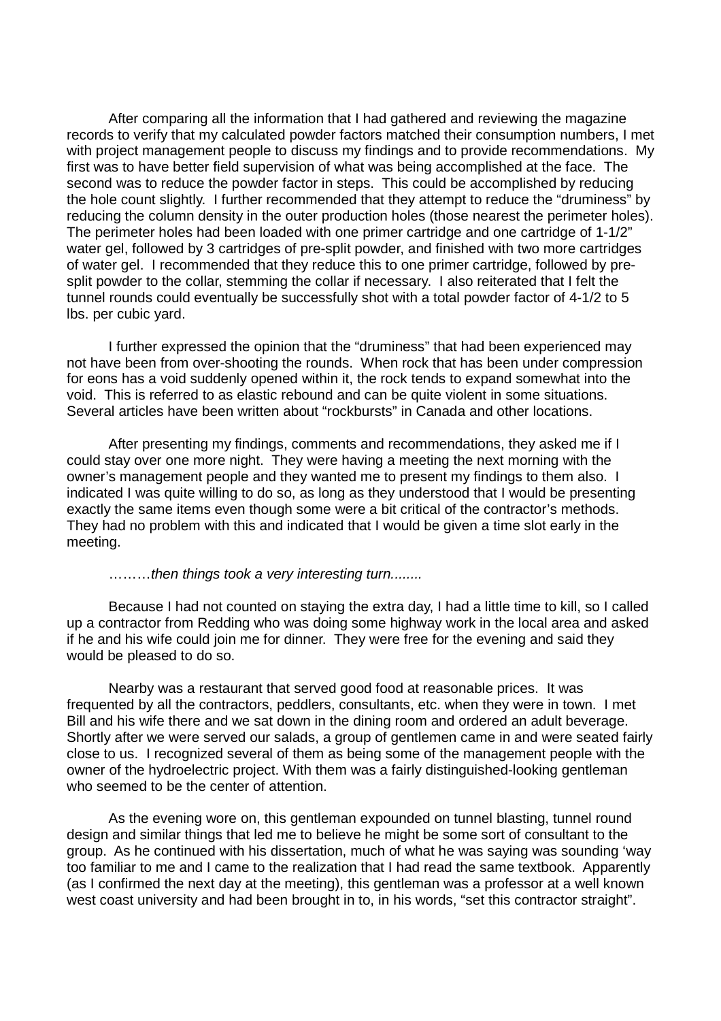After comparing all the information that I had gathered and reviewing the magazine records to verify that my calculated powder factors matched their consumption numbers, I met with project management people to discuss my findings and to provide recommendations. My first was to have better field supervision of what was being accomplished at the face. The second was to reduce the powder factor in steps. This could be accomplished by reducing the hole count slightly. I further recommended that they attempt to reduce the "druminess" by reducing the column density in the outer production holes (those nearest the perimeter holes). The perimeter holes had been loaded with one primer cartridge and one cartridge of 1-1/2" water gel, followed by 3 cartridges of pre-split powder, and finished with two more cartridges of water gel. I recommended that they reduce this to one primer cartridge, followed by presplit powder to the collar, stemming the collar if necessary. I also reiterated that I felt the tunnel rounds could eventually be successfully shot with a total powder factor of 4-1/2 to 5 lbs. per cubic yard.

 I further expressed the opinion that the "druminess" that had been experienced may not have been from over-shooting the rounds. When rock that has been under compression for eons has a void suddenly opened within it, the rock tends to expand somewhat into the void. This is referred to as elastic rebound and can be quite violent in some situations. Several articles have been written about "rockbursts" in Canada and other locations.

 After presenting my findings, comments and recommendations, they asked me if I could stay over one more night. They were having a meeting the next morning with the owner's management people and they wanted me to present my findings to them also. I indicated I was quite willing to do so, as long as they understood that I would be presenting exactly the same items even though some were a bit critical of the contractor's methods. They had no problem with this and indicated that I would be given a time slot early in the meeting.

..........then things took a very interesting turn........

 Because I had not counted on staying the extra day, I had a little time to kill, so I called up a contractor from Redding who was doing some highway work in the local area and asked if he and his wife could join me for dinner. They were free for the evening and said they would be pleased to do so.

 Nearby was a restaurant that served good food at reasonable prices. It was frequented by all the contractors, peddlers, consultants, etc. when they were in town. I met Bill and his wife there and we sat down in the dining room and ordered an adult beverage. Shortly after we were served our salads, a group of gentlemen came in and were seated fairly close to us. I recognized several of them as being some of the management people with the owner of the hydroelectric project. With them was a fairly distinguished-looking gentleman who seemed to be the center of attention.

 As the evening wore on, this gentleman expounded on tunnel blasting, tunnel round design and similar things that led me to believe he might be some sort of consultant to the group. As he continued with his dissertation, much of what he was saying was sounding 'way too familiar to me and I came to the realization that I had read the same textbook. Apparently (as I confirmed the next day at the meeting), this gentleman was a professor at a well known west coast university and had been brought in to, in his words, "set this contractor straight".